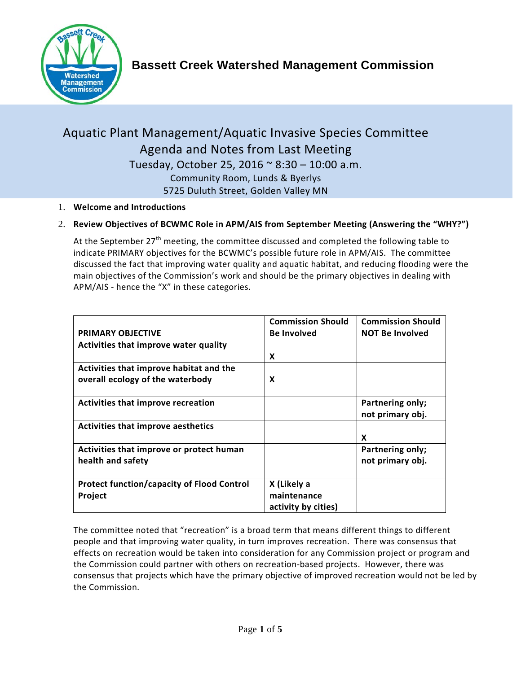

# Aquatic Plant Management/Aquatic Invasive Species Committee Agenda and Notes from Last Meeting Tuesday, October 25, 2016 ~ 8:30 – 10:00 a.m. Community Room, Lunds & Byerlys 5725 Duluth Street, Golden Valley MN

1. **Welcome and Introductions**

### 2. **Review Objectives of BCWMC Role in APM/AIS from September Meeting (Answering the "WHY?")**

At the September 27<sup>th</sup> meeting, the committee discussed and completed the following table to indicate PRIMARY objectives for the BCWMC's possible future role in APM/AIS. The committee discussed the fact that improving water quality and aquatic habitat, and reducing flooding were the main objectives of the Commission's work and should be the primary objectives in dealing with APM/AIS - hence the "X" in these categories.

|                                                   | <b>Commission Should</b> | <b>Commission Should</b>             |
|---------------------------------------------------|--------------------------|--------------------------------------|
| <b>PRIMARY OBJECTIVE</b>                          | <b>Be Involved</b>       | <b>NOT Be Involved</b>               |
| Activities that improve water quality             |                          |                                      |
|                                                   | X                        |                                      |
| Activities that improve habitat and the           |                          |                                      |
| overall ecology of the waterbody                  | X                        |                                      |
| Activities that improve recreation                |                          | Partnering only;<br>not primary obj. |
| Activities that improve aesthetics                |                          |                                      |
|                                                   |                          | X                                    |
| Activities that improve or protect human          |                          | Partnering only;                     |
| health and safety                                 |                          | not primary obj.                     |
| <b>Protect function/capacity of Flood Control</b> | X (Likely a              |                                      |
| Project                                           | maintenance              |                                      |
|                                                   | activity by cities)      |                                      |

The committee noted that "recreation" is a broad term that means different things to different people and that improving water quality, in turn improves recreation. There was consensus that effects on recreation would be taken into consideration for any Commission project or program and the Commission could partner with others on recreation-based projects. However, there was consensus that projects which have the primary objective of improved recreation would not be led by the Commission.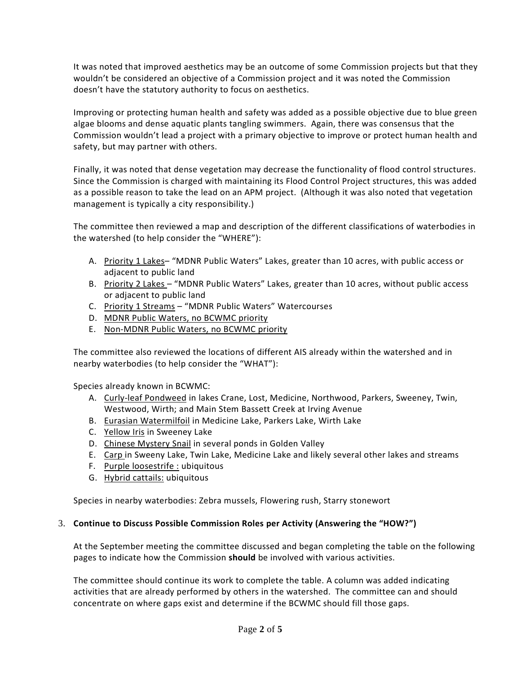It was noted that improved aesthetics may be an outcome of some Commission projects but that they wouldn't be considered an objective of a Commission project and it was noted the Commission doesn't have the statutory authority to focus on aesthetics.

Improving or protecting human health and safety was added as a possible objective due to blue green algae blooms and dense aquatic plants tangling swimmers. Again, there was consensus that the Commission wouldn't lead a project with a primary objective to improve or protect human health and safety, but may partner with others.

Finally, it was noted that dense vegetation may decrease the functionality of flood control structures. Since the Commission is charged with maintaining its Flood Control Project structures, this was added as a possible reason to take the lead on an APM project. (Although it was also noted that vegetation management is typically a city responsibility.)

The committee then reviewed a map and description of the different classifications of waterbodies in the watershed (to help consider the "WHERE"):

- A. Priority 1 Lakes- "MDNR Public Waters" Lakes, greater than 10 acres, with public access or adjacent to public land
- B. Priority 2 Lakes "MDNR Public Waters" Lakes, greater than 10 acres, without public access or adjacent to public land
- C. Priority 1 Streams "MDNR Public Waters" Watercourses
- D. MDNR Public Waters, no BCWMC priority
- E. Non-MDNR Public Waters, no BCWMC priority

The committee also reviewed the locations of different AIS already within the watershed and in nearby waterbodies (to help consider the "WHAT"):

Species already known in BCWMC:

- A. Curly-leaf Pondweed in lakes Crane, Lost, Medicine, Northwood, Parkers, Sweeney, Twin, Westwood, Wirth; and Main Stem Bassett Creek at Irving Avenue
- B. Eurasian Watermilfoil in Medicine Lake, Parkers Lake, Wirth Lake
- C. Yellow Iris in Sweeney Lake
- D. Chinese Mystery Snail in several ponds in Golden Valley
- E. Carp in Sweeny Lake, Twin Lake, Medicine Lake and likely several other lakes and streams
- F. Purple loosestrife : ubiquitous
- G. Hybrid cattails: ubiquitous

Species in nearby waterbodies: Zebra mussels, Flowering rush, Starry stonewort

#### 3. **Continue to Discuss Possible Commission Roles per Activity (Answering the "HOW?")**

At the September meeting the committee discussed and began completing the table on the following pages to indicate how the Commission **should** be involved with various activities.

The committee should continue its work to complete the table. A column was added indicating activities that are already performed by others in the watershed. The committee can and should concentrate on where gaps exist and determine if the BCWMC should fill those gaps.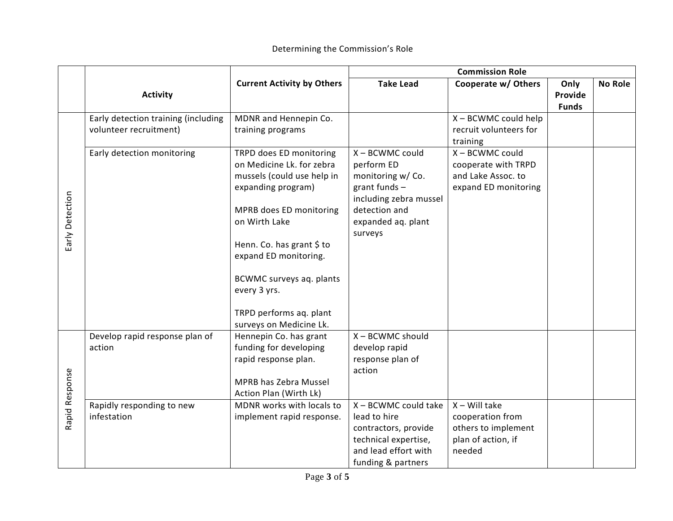|                 |                                                               | <b>Current Activity by Others</b>                                                                                                                                                                                                                                                                            | <b>Commission Role</b>                                                                                                                            |                                                                                            |                                 |                |
|-----------------|---------------------------------------------------------------|--------------------------------------------------------------------------------------------------------------------------------------------------------------------------------------------------------------------------------------------------------------------------------------------------------------|---------------------------------------------------------------------------------------------------------------------------------------------------|--------------------------------------------------------------------------------------------|---------------------------------|----------------|
|                 | <b>Activity</b>                                               |                                                                                                                                                                                                                                                                                                              | <b>Take Lead</b>                                                                                                                                  | Cooperate w/ Others                                                                        | Only<br>Provide<br><b>Funds</b> | <b>No Role</b> |
|                 | Early detection training (including<br>volunteer recruitment) | MDNR and Hennepin Co.<br>training programs                                                                                                                                                                                                                                                                   |                                                                                                                                                   | X - BCWMC could help<br>recruit volunteers for<br>training                                 |                                 |                |
| Early Detection | Early detection monitoring                                    | TRPD does ED monitoring<br>on Medicine Lk. for zebra<br>mussels (could use help in<br>expanding program)<br>MPRB does ED monitoring<br>on Wirth Lake<br>Henn. Co. has grant \$ to<br>expand ED monitoring.<br>BCWMC surveys aq. plants<br>every 3 yrs.<br>TRPD performs aq. plant<br>surveys on Medicine Lk. | X - BCWMC could<br>perform ED<br>monitoring w/ Co.<br>grant funds $-$<br>including zebra mussel<br>detection and<br>expanded aq. plant<br>surveys | X - BCWMC could<br>cooperate with TRPD<br>and Lake Assoc. to<br>expand ED monitoring       |                                 |                |
| Rapid Response  | Develop rapid response plan of<br>action                      | Hennepin Co. has grant<br>funding for developing<br>rapid response plan.<br>MPRB has Zebra Mussel<br>Action Plan (Wirth Lk)                                                                                                                                                                                  | X - BCWMC should<br>develop rapid<br>response plan of<br>action                                                                                   |                                                                                            |                                 |                |
|                 | Rapidly responding to new<br>infestation                      | MDNR works with locals to<br>implement rapid response.                                                                                                                                                                                                                                                       | X - BCWMC could take<br>lead to hire<br>contractors, provide<br>technical expertise,<br>and lead effort with<br>funding & partners                | $X - Will$ take<br>cooperation from<br>others to implement<br>plan of action, if<br>needed |                                 |                |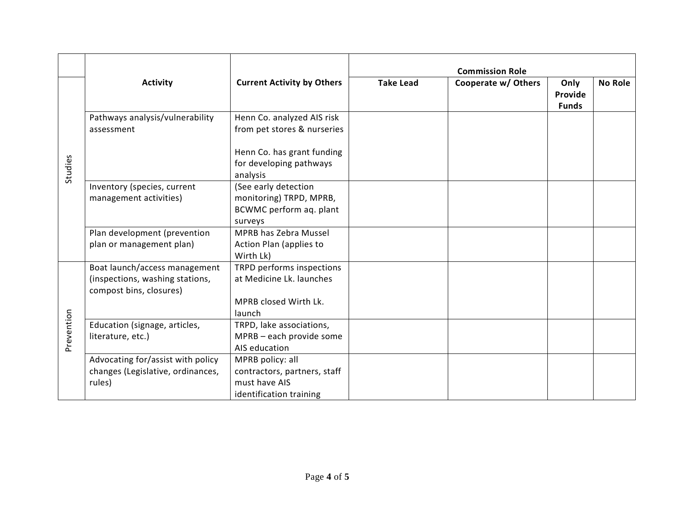|            |                                                                                             |                                                                                              | <b>Commission Role</b> |                     |                                 |                |
|------------|---------------------------------------------------------------------------------------------|----------------------------------------------------------------------------------------------|------------------------|---------------------|---------------------------------|----------------|
|            | <b>Activity</b>                                                                             | <b>Current Activity by Others</b>                                                            | <b>Take Lead</b>       | Cooperate w/ Others | Only<br>Provide<br><b>Funds</b> | <b>No Role</b> |
| Studies    | Pathways analysis/vulnerability<br>assessment                                               | Henn Co. analyzed AIS risk<br>from pet stores & nurseries                                    |                        |                     |                                 |                |
|            |                                                                                             | Henn Co. has grant funding<br>for developing pathways<br>analysis                            |                        |                     |                                 |                |
|            | Inventory (species, current<br>management activities)                                       | (See early detection<br>monitoring) TRPD, MPRB,<br>BCWMC perform aq. plant<br>surveys        |                        |                     |                                 |                |
|            | Plan development (prevention<br>plan or management plan)                                    | <b>MPRB has Zebra Mussel</b><br>Action Plan (applies to<br>Wirth Lk)                         |                        |                     |                                 |                |
| Prevention | Boat launch/access management<br>(inspections, washing stations,<br>compost bins, closures) | TRPD performs inspections<br>at Medicine Lk. launches<br>MPRB closed Wirth Lk.<br>launch     |                        |                     |                                 |                |
|            | Education (signage, articles,<br>literature, etc.)                                          | TRPD, lake associations,<br>MPRB - each provide some<br>AIS education                        |                        |                     |                                 |                |
|            | Advocating for/assist with policy<br>changes (Legislative, ordinances,<br>rules)            | MPRB policy: all<br>contractors, partners, staff<br>must have AIS<br>identification training |                        |                     |                                 |                |